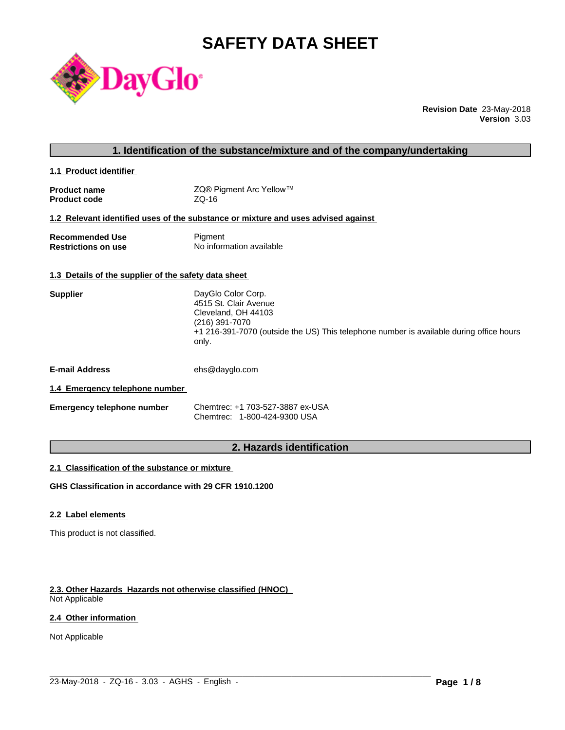# **SAFETY DATA SHEET**



**Revision Date** 23-May-2018 **Version** 3.03

|                                                      | 1. Identification of the substance/mixture and of the company/undertaking                                                                                                                                                                                                                                                                                                                                                                     |
|------------------------------------------------------|-----------------------------------------------------------------------------------------------------------------------------------------------------------------------------------------------------------------------------------------------------------------------------------------------------------------------------------------------------------------------------------------------------------------------------------------------|
| 1.1 Product identifier                               |                                                                                                                                                                                                                                                                                                                                                                                                                                               |
| <b>Product name</b><br><b>Product code</b>           | ZQ® Pigment Arc Yellow™<br>$ZQ-16$                                                                                                                                                                                                                                                                                                                                                                                                            |
|                                                      | 1.2 Relevant identified uses of the substance or mixture and uses advised against                                                                                                                                                                                                                                                                                                                                                             |
| <b>Recommended Use</b><br><b>Restrictions on use</b> | Pigment<br>No information available                                                                                                                                                                                                                                                                                                                                                                                                           |
| 1.3 Details of the supplier of the safety data sheet |                                                                                                                                                                                                                                                                                                                                                                                                                                               |
| <b>Supplier</b>                                      | DayGlo Color Corp.<br>4515 St. Clair Avenue<br>Cleveland, OH 44103<br>(216) 391-7070<br>+1 216-391-7070 (outside the US) This telephone number is available during office hours<br>only.                                                                                                                                                                                                                                                      |
| <b>E-mail Address</b>                                | ehs@dayglo.com                                                                                                                                                                                                                                                                                                                                                                                                                                |
| 1.4 Emergency telephone number                       |                                                                                                                                                                                                                                                                                                                                                                                                                                               |
| Emergency telephone number                           | Chemtrec: +1 703-527-3887 ex-USA<br>Chemtrec: 1-800-424-9300 USA                                                                                                                                                                                                                                                                                                                                                                              |
|                                                      | $\mathbf{r} = \mathbf{r} + \mathbf{r} = \mathbf{r} + \mathbf{r} + \mathbf{r} + \mathbf{r} + \mathbf{r} + \mathbf{r} + \mathbf{r} + \mathbf{r} + \mathbf{r} + \mathbf{r} + \mathbf{r} + \mathbf{r} + \mathbf{r} + \mathbf{r} + \mathbf{r} + \mathbf{r} + \mathbf{r} + \mathbf{r} + \mathbf{r} + \mathbf{r} + \mathbf{r} + \mathbf{r} + \mathbf{r} + \mathbf{r} + \mathbf{r} + \mathbf{r} + \mathbf{r} + \mathbf{r} + \mathbf$<br>$\sim$ $\sim$ |

# **2. Hazards identification**

 $\_$  ,  $\_$  ,  $\_$  ,  $\_$  ,  $\_$  ,  $\_$  ,  $\_$  ,  $\_$  ,  $\_$  ,  $\_$  ,  $\_$  ,  $\_$  ,  $\_$  ,  $\_$  ,  $\_$  ,  $\_$  ,  $\_$  ,  $\_$  ,  $\_$  ,  $\_$  ,  $\_$  ,  $\_$  ,  $\_$  ,  $\_$  ,  $\_$  ,  $\_$  ,  $\_$  ,  $\_$  ,  $\_$  ,  $\_$  ,  $\_$  ,  $\_$  ,  $\_$  ,  $\_$  ,  $\_$  ,  $\_$  ,  $\_$  ,

#### **2.1 Classification of the substance or mixture**

**GHS Classification in accordance with 29 CFR 1910.1200**

#### **2.2 Label elements**

This product is not classified.

# **2.3. Other Hazards Hazards not otherwise classified (HNOC)**

Not Applicable

#### **2.4 Other information**

Not Applicable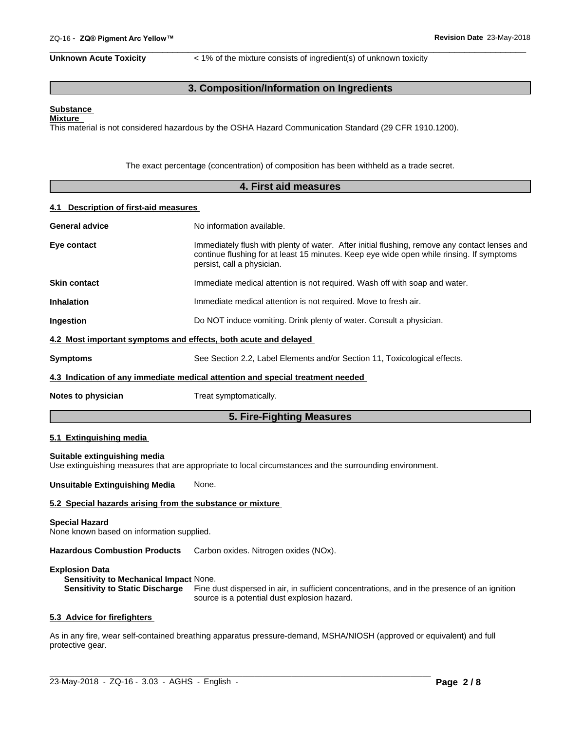**Unknown Acute Toxicity**  $\lt$  1% of the mixture consists of ingredient(s) of unknown toxicity

 $\overline{\phantom{a}}$  ,  $\overline{\phantom{a}}$  ,  $\overline{\phantom{a}}$  ,  $\overline{\phantom{a}}$  ,  $\overline{\phantom{a}}$  ,  $\overline{\phantom{a}}$  ,  $\overline{\phantom{a}}$  ,  $\overline{\phantom{a}}$  ,  $\overline{\phantom{a}}$  ,  $\overline{\phantom{a}}$  ,  $\overline{\phantom{a}}$  ,  $\overline{\phantom{a}}$  ,  $\overline{\phantom{a}}$  ,  $\overline{\phantom{a}}$  ,  $\overline{\phantom{a}}$  ,  $\overline{\phantom{a}}$ 

# **3. Composition/Information on Ingredients**

#### **Substance Mixture**

This material is not considered hazardous by the OSHA Hazard Communication Standard (29 CFR 1910.1200).

The exact percentage (concentration) of composition has been withheld as a trade secret.

|                                                                   | 4. First aid measures                                                                                                                                                                                                   |
|-------------------------------------------------------------------|-------------------------------------------------------------------------------------------------------------------------------------------------------------------------------------------------------------------------|
| 4.1 Description of first-aid measures                             |                                                                                                                                                                                                                         |
| <b>General advice</b>                                             | No information available.                                                                                                                                                                                               |
| Eye contact                                                       | Immediately flush with plenty of water. After initial flushing, remove any contact lenses and<br>continue flushing for at least 15 minutes. Keep eye wide open while rinsing. If symptoms<br>persist, call a physician. |
| <b>Skin contact</b>                                               | Immediate medical attention is not required. Wash off with soap and water.                                                                                                                                              |
| <b>Inhalation</b>                                                 | Immediate medical attention is not required. Move to fresh air.                                                                                                                                                         |
| Ingestion                                                         | Do NOT induce vomiting. Drink plenty of water. Consult a physician.                                                                                                                                                     |
|                                                                   | 4.2 Most important symptoms and effects, both acute and delayed                                                                                                                                                         |
| <b>Symptoms</b>                                                   | See Section 2.2, Label Elements and/or Section 11, Toxicological effects.                                                                                                                                               |
|                                                                   | 4.3 Indication of any immediate medical attention and special treatment needed                                                                                                                                          |
| Notes to physician                                                | Treat symptomatically.                                                                                                                                                                                                  |
|                                                                   | 5. Fire-Fighting Measures                                                                                                                                                                                               |
| 5.1 Extinguishing media                                           |                                                                                                                                                                                                                         |
| Suitable extinguishing media                                      | Use extinguishing measures that are appropriate to local circumstances and the surrounding environment.                                                                                                                 |
| <b>Unsuitable Extinguishing Media</b>                             | None.                                                                                                                                                                                                                   |
|                                                                   | 5.2 Special hazards arising from the substance or mixture                                                                                                                                                               |
| <b>Special Hazard</b><br>None known hooed on information quantiad |                                                                                                                                                                                                                         |

None known based on information supplied.

**Hazardous Combustion Products** Carbon oxides. Nitrogen oxides (NOx).

#### **Explosion Data**

**Sensitivity to Mechanical Impact** None. **Sensitivity to Static Discharge** Fine dust dispersed in air, in sufficient concentrations, and in the presence of an ignition source is a potential dust explosion hazard.

#### **5.3 Advice for firefighters**

As in any fire, wear self-contained breathing apparatus pressure-demand, MSHA/NIOSH (approved or equivalent) and full protective gear.

 $\_$  ,  $\_$  ,  $\_$  ,  $\_$  ,  $\_$  ,  $\_$  ,  $\_$  ,  $\_$  ,  $\_$  ,  $\_$  ,  $\_$  ,  $\_$  ,  $\_$  ,  $\_$  ,  $\_$  ,  $\_$  ,  $\_$  ,  $\_$  ,  $\_$  ,  $\_$  ,  $\_$  ,  $\_$  ,  $\_$  ,  $\_$  ,  $\_$  ,  $\_$  ,  $\_$  ,  $\_$  ,  $\_$  ,  $\_$  ,  $\_$  ,  $\_$  ,  $\_$  ,  $\_$  ,  $\_$  ,  $\_$  ,  $\_$  ,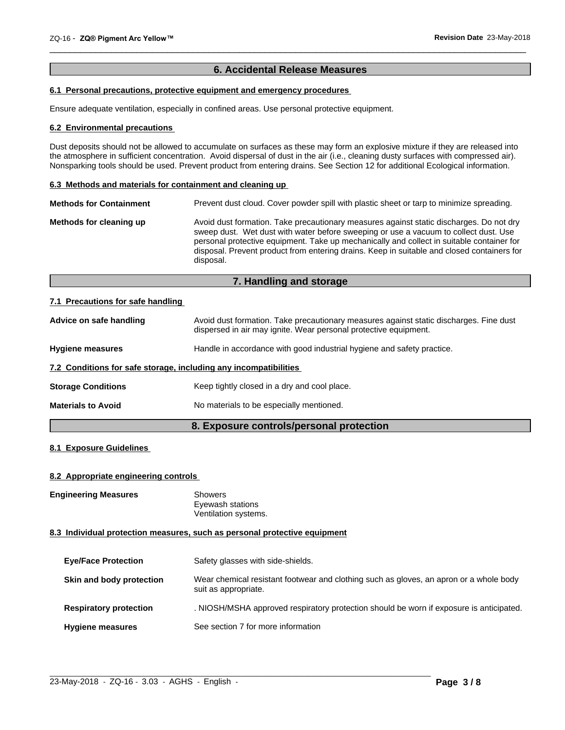## **6. Accidental Release Measures**

 $\overline{\phantom{a}}$  ,  $\overline{\phantom{a}}$  ,  $\overline{\phantom{a}}$  ,  $\overline{\phantom{a}}$  ,  $\overline{\phantom{a}}$  ,  $\overline{\phantom{a}}$  ,  $\overline{\phantom{a}}$  ,  $\overline{\phantom{a}}$  ,  $\overline{\phantom{a}}$  ,  $\overline{\phantom{a}}$  ,  $\overline{\phantom{a}}$  ,  $\overline{\phantom{a}}$  ,  $\overline{\phantom{a}}$  ,  $\overline{\phantom{a}}$  ,  $\overline{\phantom{a}}$  ,  $\overline{\phantom{a}}$ 

### **6.1 Personal precautions, protective equipment and emergency procedures**

Ensure adequate ventilation, especially in confined areas. Use personal protective equipment.

#### **6.2 Environmental precautions**

Dust deposits should not be allowed to accumulate on surfaces as these may form an explosive mixture if they are released into the atmosphere in sufficient concentration. Avoid dispersal of dust in the air (i.e., cleaning dusty surfaces with compressed air). Nonsparking tools should be used. Prevent product from entering drains. See Section 12 for additional Ecological information.

#### **6.3 Methods and materials for containment and cleaning up**

| <b>Methods for Containment</b> | Prevent dust cloud. Cover powder spill with plastic sheet or tarp to minimize spreading.                                                                                                                                                                                                                                                                                                |  |  |
|--------------------------------|-----------------------------------------------------------------------------------------------------------------------------------------------------------------------------------------------------------------------------------------------------------------------------------------------------------------------------------------------------------------------------------------|--|--|
| Methods for cleaning up        | Avoid dust formation. Take precautionary measures against static discharges. Do not dry<br>sweep dust. Wet dust with water before sweeping or use a vacuum to collect dust. Use<br>personal protective equipment. Take up mechanically and collect in suitable container for<br>disposal. Prevent product from entering drains. Keep in suitable and closed containers for<br>disposal. |  |  |

# **7. Handling and storage**

#### **7.1 Precautions for safe handling**

| Advice on safe handling                                          | Avoid dust formation. Take precautionary measures against static discharges. Fine dust<br>dispersed in air may ignite. Wear personal protective equipment. |
|------------------------------------------------------------------|------------------------------------------------------------------------------------------------------------------------------------------------------------|
| <b>Hygiene measures</b>                                          | Handle in accordance with good industrial hygiene and safety practice.                                                                                     |
| 7.2 Conditions for safe storage, including any incompatibilities |                                                                                                                                                            |
| <b>Storage Conditions</b>                                        | Keep tightly closed in a dry and cool place.                                                                                                               |
| <b>Materials to Avoid</b>                                        | No materials to be especially mentioned.                                                                                                                   |
|                                                                  |                                                                                                                                                            |

# **8. Exposure controls/personal protection**

### **8.1 Exposure Guidelines**

#### **8.2 Appropriate engineering controls**

**Engineering Measures** Showers

Eyewash stations Ventilation systems.

#### **8.3 Individual protection measures, such as personal protective equipment**

| <b>Eye/Face Protection</b>    | Safety glasses with side-shields.                                                                              |
|-------------------------------|----------------------------------------------------------------------------------------------------------------|
| Skin and body protection      | Wear chemical resistant footwear and clothing such as gloves, an apron or a whole body<br>suit as appropriate. |
| <b>Respiratory protection</b> | . NIOSH/MSHA approved respiratory protection should be worn if exposure is anticipated.                        |
| <b>Hygiene measures</b>       | See section 7 for more information                                                                             |

 $\_$  ,  $\_$  ,  $\_$  ,  $\_$  ,  $\_$  ,  $\_$  ,  $\_$  ,  $\_$  ,  $\_$  ,  $\_$  ,  $\_$  ,  $\_$  ,  $\_$  ,  $\_$  ,  $\_$  ,  $\_$  ,  $\_$  ,  $\_$  ,  $\_$  ,  $\_$  ,  $\_$  ,  $\_$  ,  $\_$  ,  $\_$  ,  $\_$  ,  $\_$  ,  $\_$  ,  $\_$  ,  $\_$  ,  $\_$  ,  $\_$  ,  $\_$  ,  $\_$  ,  $\_$  ,  $\_$  ,  $\_$  ,  $\_$  ,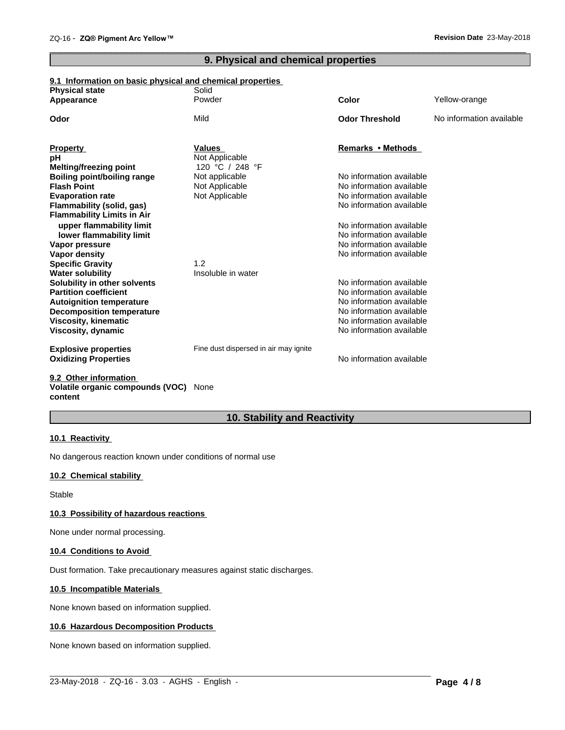# **9. Physical and chemical properties**

 $\overline{\phantom{a}}$  ,  $\overline{\phantom{a}}$  ,  $\overline{\phantom{a}}$  ,  $\overline{\phantom{a}}$  ,  $\overline{\phantom{a}}$  ,  $\overline{\phantom{a}}$  ,  $\overline{\phantom{a}}$  ,  $\overline{\phantom{a}}$  ,  $\overline{\phantom{a}}$  ,  $\overline{\phantom{a}}$  ,  $\overline{\phantom{a}}$  ,  $\overline{\phantom{a}}$  ,  $\overline{\phantom{a}}$  ,  $\overline{\phantom{a}}$  ,  $\overline{\phantom{a}}$  ,  $\overline{\phantom{a}}$ 

#### **9.1 Information on basic physical and chemical properties**

| <b>Physical state</b>              | Solid                                 |                          |                          |
|------------------------------------|---------------------------------------|--------------------------|--------------------------|
| Appearance                         | Powder                                | <b>Color</b>             | Yellow-orange            |
| Odor                               | Mild                                  | <b>Odor Threshold</b>    | No information available |
| <b>Property</b>                    | <b>Values</b>                         | Remarks • Methods        |                          |
| рH                                 | Not Applicable                        |                          |                          |
| <b>Melting/freezing point</b>      | 120 °C / 248 °F                       |                          |                          |
| <b>Boiling point/boiling range</b> | Not applicable                        | No information available |                          |
| <b>Flash Point</b>                 | Not Applicable                        | No information available |                          |
| <b>Evaporation rate</b>            | Not Applicable                        | No information available |                          |
| <b>Flammability (solid, gas)</b>   |                                       | No information available |                          |
| <b>Flammability Limits in Air</b>  |                                       |                          |                          |
| upper flammability limit           |                                       | No information available |                          |
| lower flammability limit           |                                       | No information available |                          |
| Vapor pressure                     |                                       | No information available |                          |
| Vapor density                      |                                       | No information available |                          |
| <b>Specific Gravity</b>            | 1.2                                   |                          |                          |
| <b>Water solubility</b>            | Insoluble in water                    |                          |                          |
| Solubility in other solvents       |                                       | No information available |                          |
| <b>Partition coefficient</b>       |                                       | No information available |                          |
| <b>Autoignition temperature</b>    |                                       | No information available |                          |
| <b>Decomposition temperature</b>   |                                       | No information available |                          |
| <b>Viscosity, kinematic</b>        |                                       | No information available |                          |
| Viscosity, dynamic                 |                                       | No information available |                          |
| <b>Explosive properties</b>        | Fine dust dispersed in air may ignite |                          |                          |
| <b>Oxidizing Properties</b>        |                                       | No information available |                          |
|                                    |                                       |                          |                          |

#### **9.2 Other information Volatile organic compounds (VOC)** None **content**

# **10. Stability and Reactivity**

#### **10.1 Reactivity**

No dangerous reaction known under conditions of normal use

## **10.2 Chemical stability**

Stable

#### **10.3 Possibility of hazardous reactions**

None under normal processing.

#### **10.4 Conditions to Avoid**

Dust formation. Take precautionary measures against static discharges.

#### **10.5 Incompatible Materials**

None known based on information supplied.

#### **10.6 Hazardous Decomposition Products**

None known based on information supplied.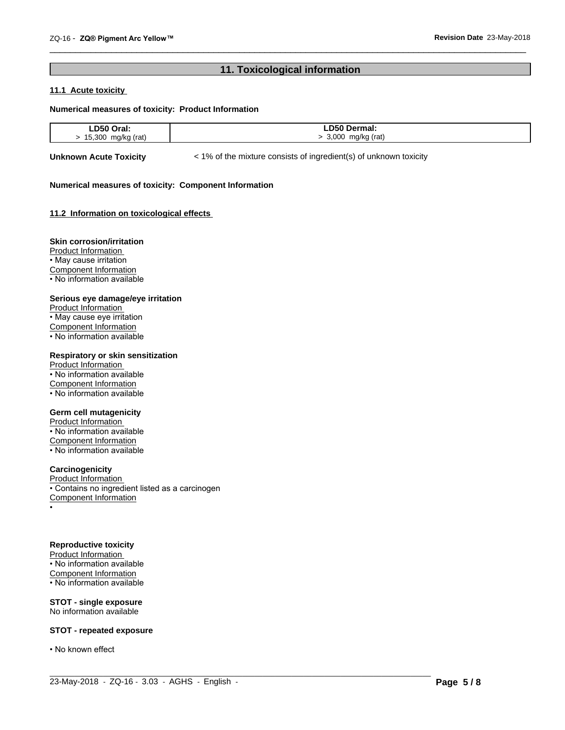# **11. Toxicological information**

 $\overline{\phantom{a}}$  ,  $\overline{\phantom{a}}$  ,  $\overline{\phantom{a}}$  ,  $\overline{\phantom{a}}$  ,  $\overline{\phantom{a}}$  ,  $\overline{\phantom{a}}$  ,  $\overline{\phantom{a}}$  ,  $\overline{\phantom{a}}$  ,  $\overline{\phantom{a}}$  ,  $\overline{\phantom{a}}$  ,  $\overline{\phantom{a}}$  ,  $\overline{\phantom{a}}$  ,  $\overline{\phantom{a}}$  ,  $\overline{\phantom{a}}$  ,  $\overline{\phantom{a}}$  ,  $\overline{\phantom{a}}$ 

### **11.1 Acute toxicity**

#### **Numerical measures of toxicity: Product Information**

| D50<br>$\sim$<br>۱aı.<br>. | D50 D<br><b>Dermai:</b> |
|----------------------------|-------------------------|
| 15,300<br>rat,             | 000<br>(rati<br>ma/kr   |

 $\_$  ,  $\_$  ,  $\_$  ,  $\_$  ,  $\_$  ,  $\_$  ,  $\_$  ,  $\_$  ,  $\_$  ,  $\_$  ,  $\_$  ,  $\_$  ,  $\_$  ,  $\_$  ,  $\_$  ,  $\_$  ,  $\_$  ,  $\_$  ,  $\_$  ,  $\_$  ,  $\_$  ,  $\_$  ,  $\_$  ,  $\_$  ,  $\_$  ,  $\_$  ,  $\_$  ,  $\_$  ,  $\_$  ,  $\_$  ,  $\_$  ,  $\_$  ,  $\_$  ,  $\_$  ,  $\_$  ,  $\_$  ,  $\_$  ,

**Unknown Acute Toxicity**  $\lt$  1% of the mixture consists of ingredient(s) of unknown toxicity

#### **Numerical measures of toxicity: Component Information**

#### **11.2 Information on toxicologicaleffects**

#### **Skin corrosion/irritation**

Product Information • May cause irritation Component Information • No information available

#### **Serious eye damage/eye irritation**

Product Information • May cause eye irritation Component Information • No information available

#### **Respiratory or skin sensitization**

Product Information • No information available Component Information • No information available

#### **Germ cell mutagenicity**

Product Information • No information available Component Information • No information available

### **Carcinogenicity**

Product Information • Contains no ingredient listed as a carcinogen Component Information •

#### **Reproductive toxicity**

Product Information • No information available Component Information • No information available

**STOT - single exposure** No information available

#### **STOT - repeated exposure**

• No known effect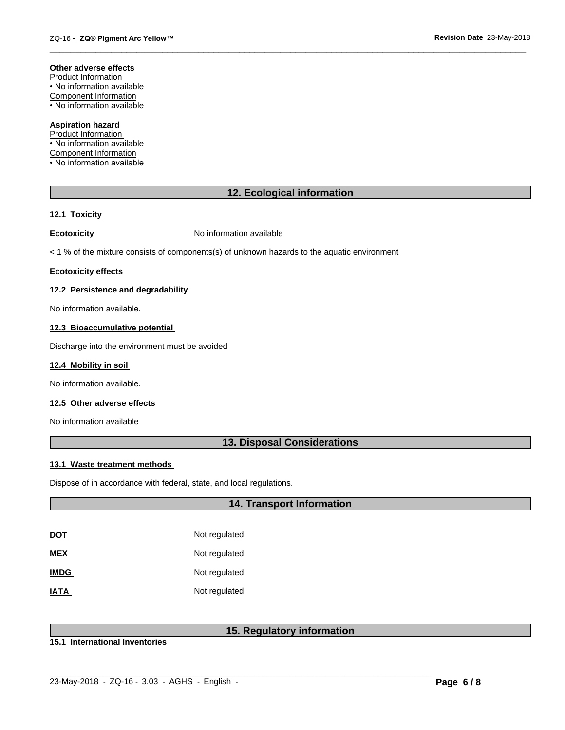#### **Other adverse effects**

Product Information • No information available Component Information • No information available

#### **Aspiration hazard**

Product Information • No information available Component Information • No information available

# **12. Ecological information**

 $\overline{\phantom{a}}$  ,  $\overline{\phantom{a}}$  ,  $\overline{\phantom{a}}$  ,  $\overline{\phantom{a}}$  ,  $\overline{\phantom{a}}$  ,  $\overline{\phantom{a}}$  ,  $\overline{\phantom{a}}$  ,  $\overline{\phantom{a}}$  ,  $\overline{\phantom{a}}$  ,  $\overline{\phantom{a}}$  ,  $\overline{\phantom{a}}$  ,  $\overline{\phantom{a}}$  ,  $\overline{\phantom{a}}$  ,  $\overline{\phantom{a}}$  ,  $\overline{\phantom{a}}$  ,  $\overline{\phantom{a}}$ 

#### **12.1 Toxicity**

**Ecotoxicity No information available** 

 $<$  1 % of the mixture consists of components(s) of unknown hazards to the aquatic environment

#### **Ecotoxicity effects**

#### **12.2 Persistence and degradability**

No information available.

#### **12.3 Bioaccumulative potential**

Discharge into the environment must be avoided

#### **12.4 Mobility in soil**

No information available.

#### **12.5 Other adverse effects**

No information available

## **13. Disposal Considerations**

#### **13.1 Waste treatment methods**

Dispose of in accordance with federal, state, and local regulations.

## **14. Transport Information**

| <u>DOT</u>  | Not regulated |
|-------------|---------------|
| MEX         | Not regulated |
| <b>IMDG</b> | Not regulated |
| <b>ATAI</b> | Not regulated |

# **15. Regulatory information**

**15.1 International Inventories**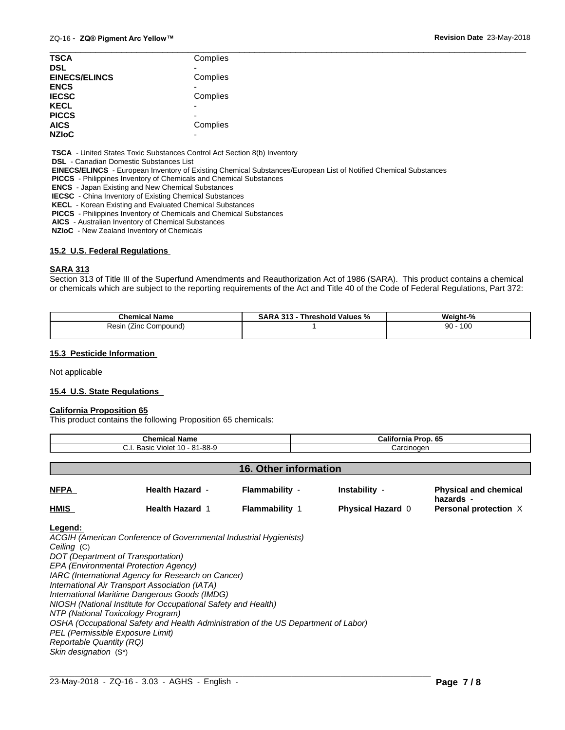| <b>TSCA</b>          | Complies                 |  |
|----------------------|--------------------------|--|
| <b>DSL</b>           |                          |  |
| <b>EINECS/ELINCS</b> | Complies                 |  |
| <b>ENCS</b>          |                          |  |
| <b>IECSC</b>         | Complies                 |  |
| <b>KECL</b>          | $\overline{\phantom{0}}$ |  |
| <b>PICCS</b>         | -                        |  |
| <b>AICS</b>          | Complies                 |  |
| <b>NZIoC</b>         |                          |  |

 **TSCA** - United States Toxic Substances Control Act Section 8(b) Inventory

 **DSL** - Canadian Domestic Substances List

 **EINECS/ELINCS** - European Inventory of Existing Chemical Substances/European List of Notified Chemical Substances

 **PICCS** - Philippines Inventory of Chemicals and Chemical Substances

 **ENCS** - Japan Existing and New Chemical Substances

 **IECSC** - China Inventory of Existing Chemical Substances

 **KECL** - Korean Existing and Evaluated Chemical Substances

 **PICCS** - Philippines Inventory of Chemicals and Chemical Substances

 **AICS** - Australian Inventory of Chemical Substances

 **NZIoC** - New Zealand Inventory of Chemicals

#### **15.2 U.S. Federal Regulations**

#### **SARA 313**

Section 313 of Title III of the Superfund Amendments and Reauthorization Act of 1986 (SARA). This product contains a chemical or chemicals which are subject to the reporting requirements of the Act and Title 40 of the Code of Federal Regulations, Part 372:

| <b>Chemical Name</b>        | . 313<br>Threshold Values<br>D A<br>SARA<br>-70 | Weight-%  |
|-----------------------------|-------------------------------------------------|-----------|
| Compound)<br>≺esın<br>(∠inc |                                                 | 100<br>90 |
|                             |                                                 |           |

#### **15.3 Pesticide Information**

Not applicable

#### **15.4 U.S. State Regulations**

#### **California Proposition 65**

This product contains the following Proposition 65 chemicals:

| <b>Chemical Name</b>           |                        | <b>California Prop. 65</b> |                       |  |                                           |
|--------------------------------|------------------------|----------------------------|-----------------------|--|-------------------------------------------|
| C.I. Basic Violet 10 - 81-88-9 |                        | Carcinogen                 |                       |  |                                           |
|                                |                        |                            |                       |  |                                           |
|                                |                        |                            | 16. Other information |  |                                           |
| <b>NFPA</b>                    | <b>Health Hazard -</b> | Flammability -             | Instability -         |  | <b>Physical and chemical</b><br>hazards - |

**HMIS Health Hazard** 1 **Flammability** 1 **Physical Hazard** 0 **Personal protection** X

#### **Legend:**

*ACGIH (American Conference of Governmental Industrial Hygienists) Ceiling* (C) *DOT (Department of Transportation) EPA (Environmental Protection Agency) IARC (International Agency for Research on Cancer) International Air Transport Association (IATA) International Maritime Dangerous Goods (IMDG) NIOSH (National Institute for Occupational Safety and Health) NTP (National Toxicology Program) OSHA (Occupational Safety and Health Administration of the US Department of Labor) PEL (Permissible Exposure Limit) Reportable Quantity (RQ) Skin designation* (S\*)